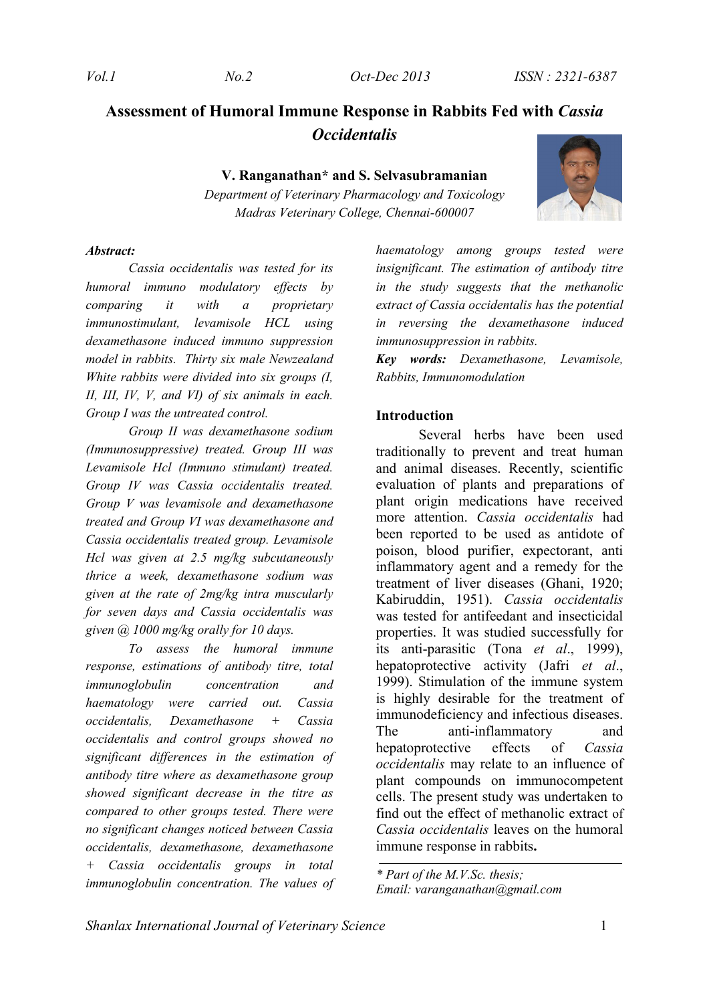# **Assessment of Humoral Immune Response in Rabbits Fed with** *Cassia Occidentalis*

**V. Ranganathan\* and S. Selvasubramanian** 

*Department of Veterinary Pharmacology and Toxicology Madras Veterinary College, Chennai-600007*

#### *Abstract:*

*Cassia occidentalis was tested for its humoral immuno modulatory effects by comparing it with a proprietary immunostimulant, levamisole HCL using dexamethasone induced immuno suppression model in rabbits. Thirty six male Newzealand White rabbits were divided into six groups (I, II, III, IV, V, and VI) of six animals in each. Group I was the untreated control.* 

*Group II was dexamethasone sodium (Immunosuppressive) treated. Group III was Levamisole Hcl (Immuno stimulant) treated. Group IV was Cassia occidentalis treated. Group V was levamisole and dexamethasone treated and Group VI was dexamethasone and Cassia occidentalis treated group. Levamisole Hcl was given at 2.5 mg/kg subcutaneously thrice a week, dexamethasone sodium was given at the rate of 2mg/kg intra muscularly for seven days and Cassia occidentalis was given @ 1000 mg/kg orally for 10 days.* 

*To assess the humoral immune response, estimations of antibody titre, total immunoglobulin concentration and haematology were carried out. Cassia occidentalis, Dexamethasone + Cassia occidentalis and control groups showed no significant differences in the estimation of antibody titre where as dexamethasone group showed significant decrease in the titre as compared to other groups tested. There were no significant changes noticed between Cassia occidentalis, dexamethasone, dexamethasone + Cassia occidentalis groups in total immunoglobulin concentration. The values of*  *haematology among groups tested were insignificant. The estimation of antibody titre in the study suggests that the methanolic extract of Cassia occidentalis has the potential in reversing the dexamethasone induced immunosuppression in rabbits.* 

*Key words: Dexamethasone, Levamisole, Rabbits, Immunomodulation*

#### **Introduction**

Several herbs have been used traditionally to prevent and treat human and animal diseases. Recently, scientific evaluation of plants and preparations of plant origin medications have received more attention. *Cassia occidentalis* had been reported to be used as antidote of poison, blood purifier, expectorant, anti inflammatory agent and a remedy for the treatment of liver diseases (Ghani, 1920; Kabiruddin, 1951). *Cassia occidentalis* was tested for antifeedant and insecticidal properties. It was studied successfully for its anti-parasitic (Tona *et al*., 1999), hepatoprotective activity (Jafri *et al*., 1999). Stimulation of the immune system is highly desirable for the treatment of immunodeficiency and infectious diseases. The anti-inflammatory and hepatoprotective effects of *Cassia occidentalis* may relate to an influence of plant compounds on immunocompetent cells. The present study was undertaken to find out the effect of methanolic extract of *Cassia occidentalis* leaves on the humoral immune response in rabbits**.** 



*<sup>\*</sup> Part of the M.V.Sc. thesis; Email: varanganathan@gmail.com*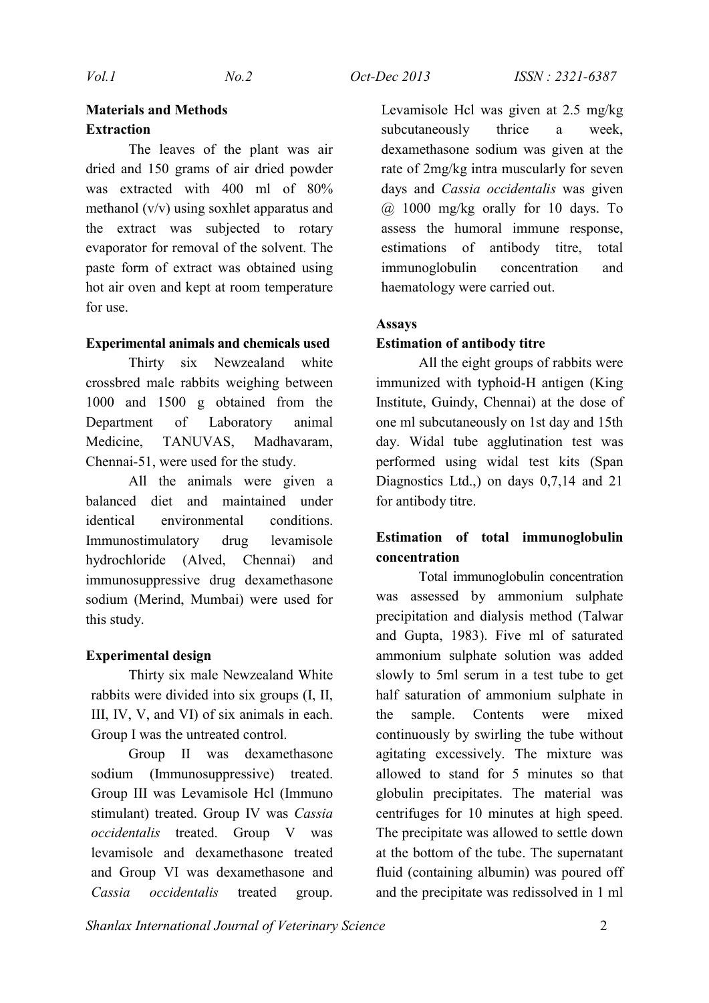# **Materials and Methods Extraction**

The leaves of the plant was air dried and 150 grams of air dried powder was extracted with 400 ml of 80% methanol (v/v) using soxhlet apparatus and the extract was subjected to rotary evaporator for removal of the solvent. The paste form of extract was obtained using hot air oven and kept at room temperature for use.

## **Experimental animals and chemicals used**

Thirty six Newzealand white crossbred male rabbits weighing between 1000 and 1500 g obtained from the Department of Laboratory animal Medicine, TANUVAS, Madhavaram, Chennai-51, were used for the study.

All the animals were given a balanced diet and maintained under identical environmental conditions. Immunostimulatory drug levamisole hydrochloride (Alved, Chennai) and immunosuppressive drug dexamethasone sodium (Merind, Mumbai) were used for this study.

# **Experimental design**

Thirty six male Newzealand White rabbits were divided into six groups (I, II, III, IV, V, and VI) of six animals in each. Group I was the untreated control.

Group II was dexamethasone sodium (Immunosuppressive) treated. Group III was Levamisole Hcl (Immuno stimulant) treated. Group IV was *Cassia occidentalis* treated. Group V was levamisole and dexamethasone treated and Group VI was dexamethasone and *Cassia occidentalis* treated group.

Levamisole Hcl was given at 2.5 mg/kg subcutaneously thrice a week, dexamethasone sodium was given at the rate of 2mg/kg intra muscularly for seven days and *Cassia occidentalis* was given @ 1000 mg/kg orally for 10 days. To assess the humoral immune response, estimations of antibody titre, total immunoglobulin concentration and haematology were carried out.

### **Assays**

### **Estimation of antibody titre**

All the eight groups of rabbits were immunized with typhoid-H antigen (King Institute, Guindy, Chennai) at the dose of one ml subcutaneously on 1st day and 15th day. Widal tube agglutination test was performed using widal test kits (Span Diagnostics Ltd.,) on days 0,7,14 and 21 for antibody titre.

# **Estimation of total immunoglobulin concentration**

Total immunoglobulin concentration was assessed by ammonium sulphate precipitation and dialysis method (Talwar and Gupta, 1983). Five ml of saturated ammonium sulphate solution was added slowly to 5ml serum in a test tube to get half saturation of ammonium sulphate in the sample. Contents were mixed continuously by swirling the tube without agitating excessively. The mixture was allowed to stand for 5 minutes so that globulin precipitates. The material was centrifuges for 10 minutes at high speed. The precipitate was allowed to settle down at the bottom of the tube. The supernatant fluid (containing albumin) was poured off and the precipitate was redissolved in 1 ml

*Shanlax International Journal of Veterinary Science* 2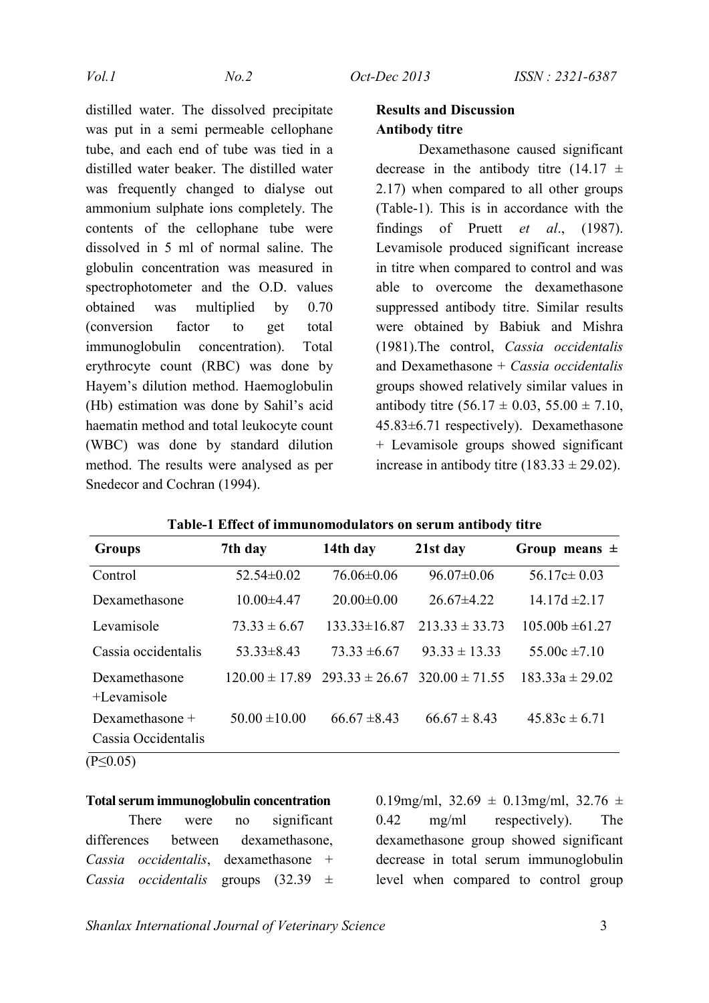distilled water. The dissolved precipitate was put in a semi permeable cellophane tube, and each end of tube was tied in a distilled water beaker. The distilled water was frequently changed to dialyse out ammonium sulphate ions completely. The contents of the cellophane tube were dissolved in 5 ml of normal saline. The globulin concentration was measured in spectrophotometer and the O.D. values obtained was multiplied by 0.70 (conversion factor to get total immunoglobulin concentration). Total erythrocyte count (RBC) was done by Hayem's dilution method. Haemoglobulin (Hb) estimation was done by Sahil's acid haematin method and total leukocyte count (WBC) was done by standard dilution method. The results were analysed as per Snedecor and Cochran (1994).

# **Results and Discussion Antibody titre**

Dexamethasone caused significant decrease in the antibody titre (14.17  $\pm$ 2.17) when compared to all other groups (Table-1). This is in accordance with the findings of Pruett *et al*., (1987). Levamisole produced significant increase in titre when compared to control and was able to overcome the dexamethasone suppressed antibody titre. Similar results were obtained by Babiuk and Mishra (1981).The control, *Cassia occidentalis*  and Dexamethasone + *Cassia occidentalis*  groups showed relatively similar values in antibody titre  $(56.17 \pm 0.03, 55.00 \pm 7.10,$ 45.83±6.71 respectively). Dexamethasone + Levamisole groups showed significant increase in antibody titre  $(183.33 \pm 29.02)$ .

| <b>Groups</b>                            | 7th day            | 14th day           | 21st day           | Group means $\pm$   |
|------------------------------------------|--------------------|--------------------|--------------------|---------------------|
| Control                                  | $52.54 \pm 0.02$   | $76.06 \pm 0.06$   | $96.07 \pm 0.06$   | $56.17c \pm 0.03$   |
| Dexamethasone                            | $10.00\pm4.47$     | $20.00 \pm 0.00$   | $26.67\pm4.22$     | $14.17d \pm 2.17$   |
| Levamisole                               | $73.33 \pm 6.67$   | $133.33 \pm 16.87$ | $213.33 \pm 33.73$ | $105.00b \pm 61.27$ |
| Cassia occidentalis                      | $53.33 \pm 8.43$   | $73.33 \pm 6.67$   | $93.33 \pm 13.33$  | $55.00c \pm 7.10$   |
| Dexamethasone<br>+Levamisole             | $120.00 \pm 17.89$ | $293.33 \pm 26.67$ | $320.00 \pm 71.55$ | $183.33a \pm 29.02$ |
| Dexamethasone $+$<br>Cassia Occidentalis | $50.00 \pm 10.00$  | $66.67 \pm 8.43$   | $66.67 \pm 8.43$   | $45.83c \pm 6.71$   |
| $(P \le 0.05)$                           |                    |                    |                    |                     |

|  |  |  | Table-1 Effect of immunomodulators on serum antibody titre |  |  |  |
|--|--|--|------------------------------------------------------------|--|--|--|
|--|--|--|------------------------------------------------------------|--|--|--|

# **Total serum immunoglobulin concentration**

There were no significant differences between dexamethasone, *Cassia occidentalis*, dexamethasone + *Cassia occidentalis* groups (32.39 ± 0.19mg/ml,  $32.69 \pm 0.13$ mg/ml,  $32.76 \pm 1.13$ 0.42 mg/ml respectively). The dexamethasone group showed significant decrease in total serum immunoglobulin level when compared to control group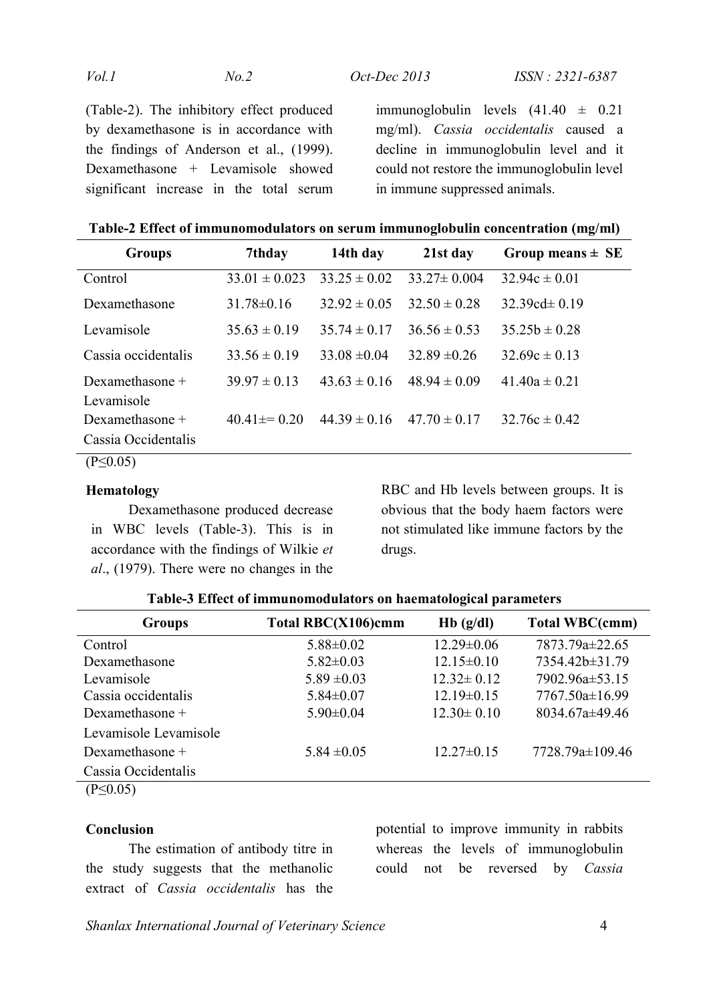| Vol.1 | No.2 | <i>Oct-Dec</i> 2013 |
|-------|------|---------------------|
|       |      |                     |

(Table-2). The inhibitory effect produced by dexamethasone is in accordance with the findings of Anderson et al., (1999). Dexamethasone + Levamisole showed significant increase in the total serum immunoglobulin levels  $(41.40 \pm 0.21)$ mg/ml). *Cassia occidentalis* caused a decline in immunoglobulin level and it could not restore the immunoglobulin level in immune suppressed animals.

**Table-2 Effect of immunomodulators on serum immunoglobulin concentration (mg/ml)**

| <b>Groups</b>       | 7thday            | 14th day         | 21st day          | Group means $\pm$ SE |
|---------------------|-------------------|------------------|-------------------|----------------------|
| Control             | $33.01 \pm 0.023$ | $33.25 \pm 0.02$ | $33.27 \pm 0.004$ | $32.94c \pm 0.01$    |
| Dexamethasone       | $31.78 \pm 0.16$  | $32.92 \pm 0.05$ | $32.50 \pm 0.28$  | 32.39cd $\pm$ 0.19   |
| Levamisole          | $35.63 \pm 0.19$  | $35.74 \pm 0.17$ | $36.56 \pm 0.53$  | $35.25b \pm 0.28$    |
| Cassia occidentalis | $33.56 \pm 0.19$  | $33.08 \pm 0.04$ | $32.89 \pm 0.26$  | $32.69c \pm 0.13$    |
| Dexamethasone +     | $39.97 \pm 0.13$  | $43.63 \pm 0.16$ | $48.94 \pm 0.09$  | $41.40a \pm 0.21$    |
| Levamisole          |                   |                  |                   |                      |
| Dexamethasone +     | $40.41 \pm 0.20$  | $44.39 \pm 0.16$ | $47.70 \pm 0.17$  | $32.76c \pm 0.42$    |
| Cassia Occidentalis |                   |                  |                   |                      |

(P≤0.05)

### **Hematology**

Dexamethasone produced decrease in WBC levels (Table-3). This is in accordance with the findings of Wilkie *et al*., (1979). There were no changes in the RBC and Hb levels between groups. It is obvious that the body haem factors were not stimulated like immune factors by the drugs.

| <b>Groups</b>         | Total RBC(X106)cmm | $Hb$ (g/dl)      | <b>Total WBC(cmm)</b> |
|-----------------------|--------------------|------------------|-----------------------|
| Control               | $5.88 \pm 0.02$    | $12.29 \pm 0.06$ | 7873.79a±22.65        |
| Dexamethasone         | $5.82 \pm 0.03$    | $12.15 \pm 0.10$ | 7354.42b±31.79        |
| Levamisole            | $5.89 \pm 0.03$    | $12.32 \pm 0.12$ | 7902.96a±53.15        |
| Cassia occidentalis   | $5.84 \pm 0.07$    | $12.19 \pm 0.15$ | 7767.50a±16.99        |
| Dexamethasone $+$     | $5.90 \pm 0.04$    | $12.30 \pm 0.10$ | 8034.67a±49.46        |
| Levamisole Levamisole |                    |                  |                       |
| Dexamethasone +       | $5.84 \pm 0.05$    | $12.27 \pm 0.15$ | 7728.79a±109.46       |
| Cassia Occidentalis   |                    |                  |                       |

**Table-3 Effect of immunomodulators on haematological parameters**

 $(P \le 0.05)$ 

#### **Conclusion**

The estimation of antibody titre in the study suggests that the methanolic extract of *Cassia occidentalis* has the potential to improve immunity in rabbits whereas the levels of immunoglobulin could not be reversed by *Cassia* 

*Shanlax International Journal of Veterinary Science* 4